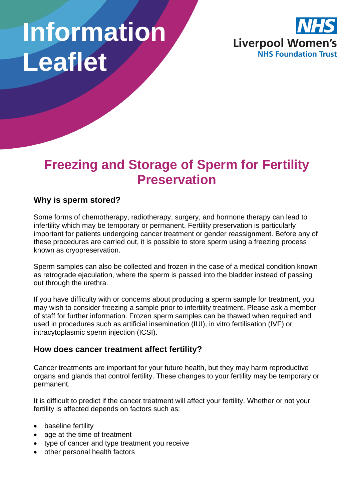# **Information Leaflet**



# **Freezing and Storage of Sperm for Fertility Preservation**

### **Why is sperm stored?**

Some forms of chemotherapy, radiotherapy, surgery, and hormone therapy can lead to infertility which may be temporary or permanent. Fertility preservation is particularly important for patients undergoing cancer treatment or gender reassignment. Before any of these procedures are carried out, it is possible to store sperm using a freezing process known as cryopreservation.

Sperm samples can also be collected and frozen in the case of a medical condition known as retrograde ejaculation, where the sperm is passed into the bladder instead of passing out through the urethra.

If you have difficulty with or concerns about producing a sperm sample for treatment, you may wish to consider freezing a sample prior to infertility treatment. Please ask a member of staff for further information. Frozen sperm samples can be thawed when required and used in procedures such as artificial insemination (IUI), in vitro fertilisation (IVF) or intracytoplasmic sperm injection (ICSI).

#### **How does cancer treatment affect fertility?**

Cancer treatments are important for your future health, but they may harm reproductive organs and glands that control fertility. These changes to your fertility may be temporary or permanent.

It is difficult to predict if the cancer treatment will affect your fertility. Whether or not your fertility is affected depends on factors such as:

- baseline fertility
- age at the time of treatment
- type of cancer and type treatment you receive
- other personal health factors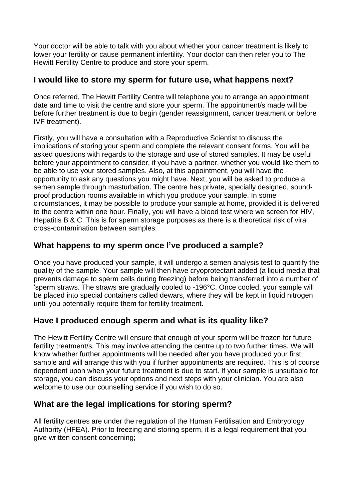Your doctor will be able to talk with you about whether your cancer treatment is likely to lower your fertility or cause permanent infertility. Your doctor can then refer you to The Hewitt Fertility Centre to produce and store your sperm.

#### **I would like to store my sperm for future use, what happens next?**

Once referred, The Hewitt Fertility Centre will telephone you to arrange an appointment date and time to visit the centre and store your sperm. The appointment/s made will be before further treatment is due to begin (gender reassignment, cancer treatment or before IVF treatment).

Firstly, you will have a consultation with a Reproductive Scientist to discuss the implications of storing your sperm and complete the relevant consent forms. You will be asked questions with regards to the storage and use of stored samples. It may be useful before your appointment to consider, if you have a partner, whether you would like them to be able to use your stored samples. Also, at this appointment, you will have the opportunity to ask any questions you might have. Next, you will be asked to produce a semen sample through masturbation. The centre has private, specially designed, soundproof production rooms available in which you produce your sample. In some circumstances, it may be possible to produce your sample at home, provided it is delivered to the centre within one hour. Finally, you will have a blood test where we screen for HIV, Hepatitis B & C. This is for sperm storage purposes as there is a theoretical risk of viral cross-contamination between samples.

#### **What happens to my sperm once I've produced a sample?**

Once you have produced your sample, it will undergo a semen analysis test to quantify the quality of the sample. Your sample will then have cryoprotectant added (a liquid media that prevents damage to sperm cells during freezing) before being transferred into a number of 'sperm straws. The straws are gradually cooled to -196°C. Once cooled, your sample will be placed into special containers called dewars, where they will be kept in liquid nitrogen until you potentially require them for fertility treatment.

# **Have I produced enough sperm and what is its quality like?**

The Hewitt Fertility Centre will ensure that enough of your sperm will be frozen for future fertility treatment/s. This may involve attending the centre up to two further times. We will know whether further appointments will be needed after you have produced your first sample and will arrange this with you if further appointments are required. This is of course dependent upon when your future treatment is due to start. If your sample is unsuitable for storage, you can discuss your options and next steps with your clinician. You are also welcome to use our counselling service if you wish to do so.

#### **What are the legal implications for storing sperm?**

All fertility centres are under the regulation of the Human Fertilisation and Embryology Authority (HFEA). Prior to freezing and storing sperm, it is a legal requirement that you give written consent concerning;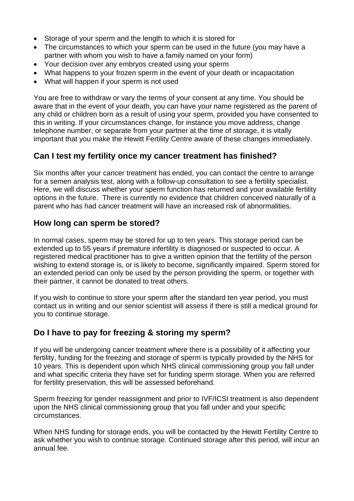- Storage of your sperm and the length to which it is stored for
- The circumstances to which your sperm can be used in the future (you may have a partner with whom you wish to have a family named on your form)
- Your decision over any embryos created using your sperm
- What happens to your frozen sperm in the event of your death or incapacitation
- What will happen if your sperm is not used

You are free to withdraw or vary the terms of your consent at any time. You should be aware that in the event of your death, you can have your name registered as the parent of any child or children born as a result of using your sperm, provided you have consented to this in writing. If your circumstances change, for instance you move address, change telephone number, or separate from your partner at the time of storage, it is vitally important that you make the Hewitt Fertility Centre aware of these changes immediately.

#### **Can I test my fertility once my cancer treatment has finished?**

Six months after your cancer treatment has ended, you can contact the centre to arrange for a semen analysis test, along with a follow-up consultation to see a fertility specialist. Here, we will discuss whether your sperm function has returned and your available fertility options in the future. There is currently no evidence that children conceived naturally of a parent who has had cancer treatment will have an increased risk of abnormalities.

#### **How long can sperm be stored?**

In normal cases, sperm may be stored for up to ten years. This storage period can be extended up to 55 years if premature infertility is diagnosed or suspected to occur. A registered medical practitioner has to give a written opinion that the fertility of the person wishing to extend storage is, or is likely to become, significantly impaired. Sperm stored for an extended period can only be used by the person providing the sperm, or together with their partner, it cannot be donated to treat others.

If you wish to continue to store your sperm after the standard ten year period, you must contact us in writing and our senior scientist will assess if there is still a medical ground for you to continue storage.

#### **Do I have to pay for freezing & storing my sperm?**

If you will be undergoing cancer treatment where there is a possibility of it affecting your fertility, funding for the freezing and storage of sperm is typically provided by the NHS for 10 years. This is dependent upon which NHS clinical commissioning group you fall under and what specific criteria they have set for funding sperm storage. When you are referred for fertility preservation, this will be assessed beforehand.

Sperm freezing for gender reassignment and prior to IVF/ICSI treatment is also dependent upon the NHS clinical commissioning group that you fall under and your specific circumstances.

When NHS funding for storage ends, you will be contacted by the Hewitt Fertility Centre to ask whether you wish to continue storage. Continued storage after this period, will incur an annual fee.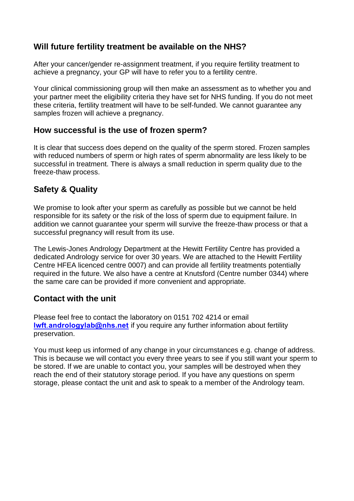#### **Will future fertility treatment be available on the NHS?**

After your cancer/gender re-assignment treatment, if you require fertility treatment to achieve a pregnancy, your GP will have to refer you to a fertility centre.

Your clinical commissioning group will then make an assessment as to whether you and your partner meet the eligibility criteria they have set for NHS funding. If you do not meet these criteria, fertility treatment will have to be self-funded. We cannot guarantee any samples frozen will achieve a pregnancy.

#### **How successful is the use of frozen sperm?**

It is clear that success does depend on the quality of the sperm stored. Frozen samples with reduced numbers of sperm or high rates of sperm abnormality are less likely to be successful in treatment. There is always a small reduction in sperm quality due to the freeze-thaw process.

# **Safety & Quality**

We promise to look after your sperm as carefully as possible but we cannot be held responsible for its safety or the risk of the loss of sperm due to equipment failure. In addition we cannot guarantee your sperm will survive the freeze-thaw process or that a successful pregnancy will result from its use.

The Lewis-Jones Andrology Department at the Hewitt Fertility Centre has provided a dedicated Andrology service for over 30 years. We are attached to the Hewitt Fertility Centre HFEA licenced centre 0007) and can provide all fertility treatments potentially required in the future. We also have a centre at Knutsford (Centre number 0344) where the same care can be provided if more convenient and appropriate.

#### **Contact with the unit**

Please feel free to contact the laboratory on 0151 702 4214 or email **lwft**.**[andrologylab@nhs.net](mailto:lwft.andrologylab@nhs.net)** if you require any further information about fertility preservation.

You must keep us informed of any change in your circumstances e.g. change of address. This is because we will contact you every three years to see if you still want your sperm to be stored. If we are unable to contact you, your samples will be destroyed when they reach the end of their statutory storage period. If you have any questions on sperm storage, please contact the unit and ask to speak to a member of the Andrology team.